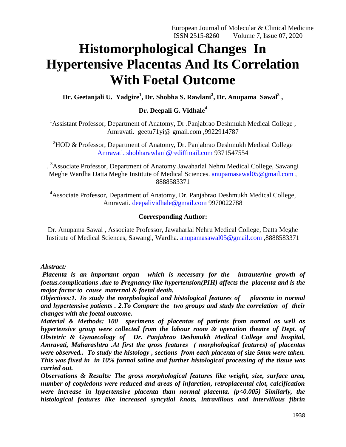# **Histomorphological Changes In Hypertensive Placentas And Its Correlation With Foetal Outcome**

**Dr. Geetanjali U. Yadgire<sup>1</sup> , Dr. Shobha S. Rawlani<sup>2</sup> , Dr. Anupama Sawal<sup>3</sup> ,** 

# **Dr. Deepali G. Vidhale<sup>4</sup>**

<sup>1</sup> Assistant Professor, Department of Anatomy, Dr .Panjabrao Deshmukh Medical College, Amravati. geetu71yi@ gmail.com ,9922914787

<sup>2</sup>HOD & Professor, Department of Anatomy, Dr. Panjabrao Deshmukh Medical College [Amravati. shobharawlani@rediffmail.com](mailto:Amravati.%20shobharawlani@rediffmail.com) 9371547554

. <sup>3</sup>Associate Professor, Department of Anatomy Jawaharlal Nehru Medical College, Sawangi Meghe Wardha Datta Meghe Institute of Medical Sciences. [anupamasawal05@gmail.com](mailto:Sciences.%20anupamasawal05@gmail.com) , 8888583371

<sup>4</sup>Associate Professor, Department of Anatomy, Dr. Panjabrao Deshmukh Medical College, Amravati. [deepalividhale@gmail.com](mailto:deepalividhale@gmail.com) 9970022788

# **Corresponding Author:**

Dr. Anupama Sawal , Associate Professor, Jawaharlal Nehru Medical College, Datta Meghe Institute of Medical Sciences, Sawangi, Wardha. [anupamasawal05@gmail.com](mailto:Sciences,%20Sawangi,%20Wardha.%20anupamasawal05@gmail.com) ,8888583371

## *Abstract:*

*Placenta is an important organ which is necessary for the intrauterine growth of foetus.complications .due to Pregnancy like hypertension(PIH) affects the placenta and is the major factor to cause maternal & foetal death.*

*Objectives:1. To study the morphological and histological features of placenta in normal and hypertensive patients . 2.To Compare the two groups and study the correlation of their changes with the foetal outcome.*

*Material & Methods: 100 specimens of placentas of patients from normal as well as hypertensive group were collected from the labour room & operation theatre of Dept. of Obstetric & Gynaecology of Dr. Panjabrao Deshmukh Medical College and hospital, Amravati, Maharashtra .At first the gross features ( morphological features) of placentas were observed.. To study the histology , sections from each placenta of size 5mm were taken. This was fixed in in 10% formal saline and further histological processing of the tissue was carried out.* 

*Observations & Results: The gross morphological features like weight, size, surface area, number of cotyledons were reduced and areas of infarction, retroplacental clot, calcification were increase in hypertensive placenta than normal placenta. (p<0.005) Similarly, the histological features like increased syncytial knots, intravillous and intervillous fibrin*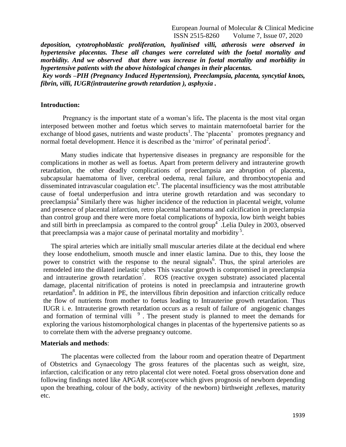European Journal of Molecular & Clinical Medicine ISSN 2515-8260 Volume 7, Issue 07, 2020

*deposition, cytotrophoblastic proliferation, hyalinised villi, atherosis were observed in hypertensive placentas. These all changes were correlated with the foetal mortality and morbidity. And we observed that there was increase in foetal mortality and morbidity in hypertensive patients with the above histological changes in their placentas.* 

*Key words –PIH (Pregnancy Induced Hypertension), Preeclampsia, placenta, syncytial knots, fibrin, villi, IUGR(intrauterine growth retardation ), asphyxia .*

#### **Introduction:**

Pregnancy is the important state of a woman's life**.** The placenta is the most vital organ interposed between mother and foetus which serves to maintain maternofoetal barrier for the exchange of blood gases, nutrients and waste products<sup>1</sup>. The 'placenta' promotes pregnancy and normal foetal development. Hence it is described as the 'mirror' of perinatal period<sup>2</sup>.

Many studies indicate that hypertensive diseases in pregnancy are responsible for the complications in mother as well as foetus. Apart from preterm delivery and intrauterine growth retardation, the other deadly complications of preeclampsia are abruption of placenta, subcapsular haematoma of liver, cerebral oedema, renal failure, and thrombocytopenia and disseminated intravascular coagulation etc<sup>3</sup>. The placental insufficiency was the most attributable cause of foetal underperfusion and intra uterine growth retardation and was secondary to preeclampsia<sup>4</sup> Similarly there was higher incidence of the reduction in placental weight, volume and presence of placental infarction, retro placental haematoma and calcification in preeclampsia than control group and there were more foetal complications of hypoxia, low birth weight babies and still birth in preeclampsia as compared to the control group<sup>4</sup>. Lelia Duley in 2003, observed that preeclampsia was a major cause of perinatal mortality and morbidity <sup>5</sup> .

The spiral arteries which are initially small muscular arteries dilate at the decidual end where they loose endothelium, smooth muscle and inner elastic lamina. Due to this, they loose the power to constrict with the response to the neural signals<sup>6</sup>. Thus, the spiral arterioles are remodeled into the dilated inelastic tubes This vascular growth is compromised in preeclampsia and intrauterine growth retardation<sup>7</sup>. ROS (reactive oxygen substrate) associated placental damage, placental nitrification of proteins is noted in preeclampsia and intrauterine growth retardation<sup>8</sup>. In addition in PE, the intervillous fibrin deposition and infarction critically reduce the flow of nutrients from mother to foetus leading to Intrauterine growth retardation. Thus IUGR i. e. Intrauterine growth retardation occurs as a result of failure of angiogenic changes and formation of terminal villi<sup>9</sup>. The present study is planned to meet the demands for exploring the various histomorphological changes in placentas of the hypertensive patients so as to correlate them with the adverse pregnancy outcome.

#### **Materials and methods**:

The placentas were collected from the labour room and operation theatre of Department of Obstetrics and Gynaecology The gross features of the placentas such as weight, size, infarction, calcification or any retro placental clot were noted. Foetal gross observation done and following findings noted like APGAR score(score which gives prognosis of newborn depending upon the breathing, colour of the body, activity of the newborn) birthweight ,reflexes, maturity etc.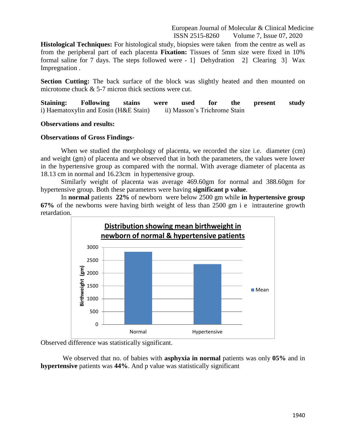European Journal of Molecular & Clinical Medicine ISSN 2515-8260 Volume 7, Issue 07, 2020

**Histological Techniques:** For histological study, biopsies were taken from the centre as well as from the peripheral part of each placenta **Fixation:** Tissues of 5mm size were fixed in 10% formal saline for 7 days. The steps followed were - 1] Dehydration 2] Clearing 3] Wax Impregnation .

**Section Cutting:** The back surface of the block was slightly heated and then mounted on microtome chuck & 5-7 micron thick sections were cut.

**Staining: Following stains were used for the present study**  i) Haematoxylin and Eosin (H&E Stain) ii) Masson's Trichrome Stain

#### **Observations and results:**

#### **Observations of Gross Findings-**

When we studied the morphology of placenta, we recorded the size *i.e.* diameter (cm) and weight (gm) of placenta and we observed that in both the parameters, the values were lower in the hypertensive group as compared with the normal. With average diameter of placenta as 18.13 cm in normal and 16.23cm in hypertensive group.

Similarly weight of placenta was average 469.60gm for normal and 388.60gm for hypertensive group. Both these parameters were having **significant p value**.

In **normal** patients **22%** of newborn were below 2500 gm while **in hypertensive group 67%** of the newborns were having birth weight of less than 2500 gm i e intrauterine growth retardation.



Observed difference was statistically significant.

We observed that no. of babies with **asphyxia in normal** patients was only **05%** and in **hypertensive** patients was **44%**. And p value was statistically significant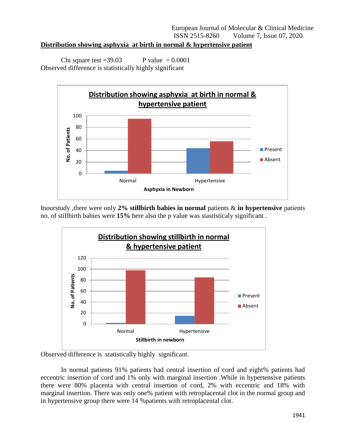# **Distribution showing asphyxia at birth in normal & hypertensive patient**

Chi square test =39.03 P value =  $0.0001$ Observed difference is statistically highly significant



Inourstudy ,there were only **2% stillbirth babies in normal** patients & **in hypertensive** patients no. of stillbirth babies were **15%** here also the p value was stastisticaly significant .



Observed difference is statistically highly significant.

In normal patients 91% patients had central insertion of cord and eight% patients had eccentric insertion of cord and 1% only with marginal insertion .While in hypertensive patients there were 80% placenta with central insertion of cord, 2% with eccentric and 18% with marginal insertion. There was only one% patient with retroplacental clot in the normal group and in hypertensive group there were 14 %patients with retroplacental clot.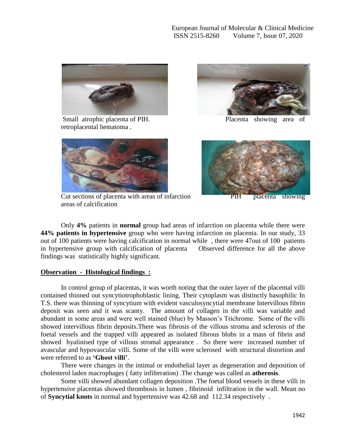

Small atrophic placenta of PIH. Placenta showing area of retroplacental hematoma .





Cut sections of placenta with areas of infarction PIH placenta showing areas of calcification

Only **4%** patients in **normal** group had areas of infarction on placenta while there were **44% patients in hypertensive** group who were having infarction on placenta. In our study, 33 out of 100 patients were having calcification in normal while , there were 47out of 100 patients in hypertensive group with calcification of placenta Observed difference for all the above findings was statistically highly significant.

# **Observation - Histological findings :**

 In control group of placentas, it was worth noting that the outer layer of the placental villi contained thinned out syncytiotrophoblastic lining. Their cytoplasm was distinctly basophilic In T.S. there was thinning of syncytium with evident vasculosyncytial membrane Intervillous fibrin deposit was seen and it was scanty. The amount of collagen in the villi was variable and abundant in some areas and were well stained (blue) by Masson's Trichrome. Some of the villi showed intervillous fibrin deposits.There was fibrosis of the villous stroma and sclerosis of the foetal vessels and the trapped villi appeared as isolated fibrous blobs in a mass of fibrin and showed hyalinised type of villous stromal appearance . So there were increased number of avascular and hypovascular villi. Some of the villi were sclerosed with structural distortion and were referred to as **'Ghost villi'**.

 There were changes in the intimal or endothelial layer as degeneration and deposition of cholesterol laden macrophages ( fatty infilteration) .The change was called as **atherosis**.

 Some villi showed abundant collagen deposition .The foetal blood vessels in these villi in hypertensive placentas showed thrombosis in lumen , fibrinoid infiltration in the wall. Mean no of **Syncytial knots** in normal and hypertensive was 42.68 and 112.34 respectively .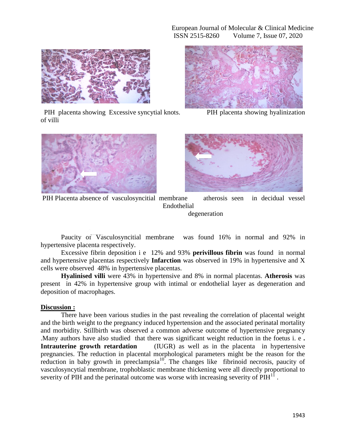

 PIH placenta showing Excessive syncytial knots. PIH placenta showing hyalinization of villi









PIH Placenta absence of vasculosyncitial membrane atherosis seen in decidual vessel Endothelial degeneration

Paucity of Vasculosyncitial membrane was found 16% in normal and 92% in hypertensive placenta respectively.

Excessive fibrin deposition i e 12% and 93% **perivillous fibrin** was found in normal and hypertensive placentas respectively **Infarction** was observed in 19% in hypertensive and X cells were observed 48% in hypertensive placentas.

**Hyalinised villi** were 43% in hypertensive and 8% in normal placentas. **Atherosis** was present in 42% in hypertensive group with intimal or endothelial layer as degeneration and deposition of macrophages.

# **Discussion :**

There have been various studies in the past revealing the correlation of placental weight and the birth weight to the pregnancy induced hypertension and the associated perinatal mortality and morbidity. Stillbirth was observed a common adverse outcome of hypertensive pregnancy .Many authors have also studied that there was significant weight reduction in the foetus i. e **. Intrauterine growth retardation** (IUGR) as well as in the placenta in hypertensive pregnancies. The reduction in placental morphological parameters might be the reason for the reduction in baby growth in preeclampsia $10^{\circ}$ . The changes like fibrinoid necrosis, paucity of vasculosyncytial membrane, trophoblastic membrane thickening were all directly proportional to severity of PIH and the perinatal outcome was worse with increasing severity of  $PHH<sup>11</sup>$ .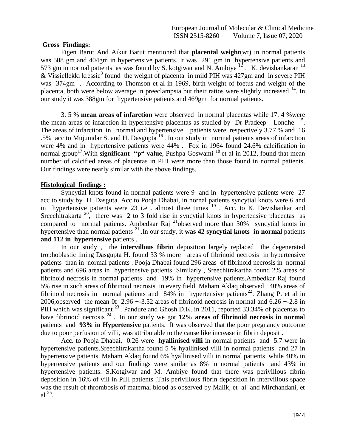### **Gross Findings:**

Figen Barut And Aikut Barut mentioned that **placental weight**(wt) in normal patients was 508 gm and 404gm in hypertensive patients. It was 291 gm in hypertensive patients and 573 gm in normal patients as was found by S. kotgiwar and N. Ambiye  $^{12}$ . K. devishankaran  $^{13}$ & Vissiellekki kressie<sup>3</sup> found the weight of placenta in mild PIH was 427gm and in severe PIH was 374gm . According to Thomson et al in 1969, birth weight of foetus and weight of the placenta, both were below average in preeclampsia but their ratios were slightly increased <sup>14</sup>. In our study it was 388gm for hypertensive patients and 469gm for normal patients.

3. 5 % **mean areas of infarction** were observed in normal placentas while 17. 4 %were the mean areas of infarction in hypertensive placentas as studied by Dr Pradeep Londhe<sup>15</sup>. The areas of infarction in normal and hypertensive patients were respectively 3.77 % and 16 .5% acc to Mujumdar S. and H. Dasgupta <sup>16</sup> . In our study in normal patients areas of infarction were 4% and in hypertensive patients were 44% . Fox in 1964 found 24.6% calcification in normal group<sup>17</sup>. With **significant "p" value**, Pushpa Goswami<sup>18</sup> et al in 2012, found that mean number of calcified areas of placentas in PIH were more than those found in normal patients. Our findings were nearly similar with the above findings.

## **Histological findings :**

Syncytial knots found in normal patients were 9 and in hypertensive patients were 27 acc to study by H. Dasguta. Acc to Pooja Dhabai, in nornal patients syncytial knots were 6 and in hypertensive patients were 23 i.e . almost three times <sup>19</sup>. Acc. to K. Devishankar and Sreechitrakarta  $20$ , there was 2 to 3 fold rise in syncytial knots in hypertensive placentas as compared to normal patients. Ambedkar Raj <sup>21</sup>observed more than 30% syncytial knots in hypertensive than normal patients <sup>21</sup> .In our study, it **was 42 syncytial knots in normal** patients **and 112 in hypertensive** patients .

In our study , the **intervillous fibrin** deposition largely replaced the degenerated trophoblastic lining Dasgupta H. found 33 % more areas of fibrinoid necrosis in hypertensive patients than in normal patients . Pooja Dhabai found 296 areas of fibrinoid necrosis in normal patients and 696 areas in hypertensive patients .Similarly , Sreechitrakartha found 2% areas of fibrinoid necrosis in normal patients and 19% in hypertensive patients.Ambedkar Raj found 5% rise in such areas of fibrinoid necrosis in every field. Maham Aklaq observed 40% areas of fibrinoid necrosis in normal patients and  $84\%$  in hypertensive patients<sup>22</sup>. Zhang P. et al in 2006,observed the mean 0f  $2.96 + -3.52$  areas of fibrinoid necrosis in normal and  $6.26 + -2.8$  in PIH which was significant  $^{23}$ . Pandure and Ghosh D.K. in 2011, reported 33.34% of placentas to have fibrinoid necrosis <sup>24</sup> . In our study we got **12% areas of fibrinoid necrosis in norma**l patients and **93% in Hypertensive** patients. It was observed that the poor pregnancy outcome due to poor perfusion of villi, was attributable to the cause like increase in fibrin deposit .

 Acc. to Pooja Dhabai, 0.26 were **hyallinised villi** in normal patients and 5.7 were in hypertensive patients.Sreechitrakartha found 5 % hyallinised villi in normal patients and 27 in hypertensive patients. Maham Aklaq found 6% hyallinised villi in normal patients while 40% in hypertensive patients and our findings were sinilar as 8% in normal patients and 43% in hypertensive patients. S.Kotgiwar and M. Ambiye found that there was perivillous fibrin deposition in 16% of vill in PIH patients .This perivillous fibrin deposition in intervillous space was the result of thrombosis of maternal blood as observed by Malik, et al and Mirchandani, et  $al^{25}$ .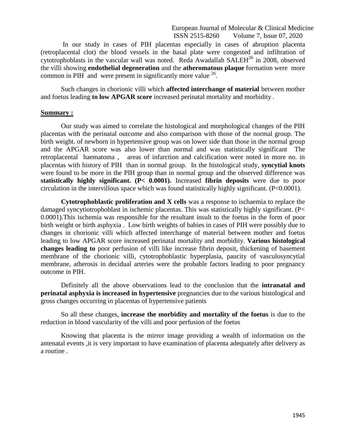European Journal of Molecular & Clinical Medicine ISSN 2515-8260 Volume 7, Issue 07, 2020

In our study in cases of PIH placentas especially in cases of abruption placenta (retroplacental clot) the blood vessels in the basal plate were congested and infiltration of cytotrophoblasts in the vascular wall was noted. Reda Awadallah SALEH<sup>26</sup> in 2008, observed the villi showing **endothelial degeneration** and the **atheromatous plaque** formation were more common in PIH and were present in significantly more value  $26$ .

Such changes in chorionic villi which **affected interchange of material** between mother and foetus leading **to low APGAR score** increased perinatal mortality and morbidity .

#### **Summary :**

Our study was aimed to correlate the histological and morphological changes of the PIH placentas with the perinatal outcome and also comparison with those of the normal group. The birth weight. of newborn in hypertensive group was on lower side than those in the normal group and the APGAR score was also lower than normal and was statistically significant The retroplacental haematoma , areas of infarction and calcification were noted in more no. in placentas with history of PIH than in normal group. In the histological study, **syncytial knots** were found to be more in the PIH group than in normal group and the observed difference was **statistically highly significant. (P< 0.0001).** Increased **fibrin deposits** were due to poor circulation in the intervillous space which was found statistically highly significant. (P<0.0001).

**Cytotrophoblastic proliferation and X cells** was a response to ischaemia to replace the damaged syncytiotrophoblast in ischemic placentas. This was statistically highly significant. (P< 0.0001).This ischemia was responsible for the resultant insult to the foetus in the form of poor birth weight or birth asphyxia . Low birth weights of babies in cases of PIH were possibly due to changes in chorionic villi which affected interchange of material between mother and foetus leading to low APGAR score increased perinatal mortality and morbidity. **Various histological changes leading to** poor perfusion of villi like increase fibrin deposit, thickening of basement membrane of the chorionic villi, cytotrophoblastic hyperplasia, paucity of vasculosyncytial membrane, atherosis in decidual arteries were the probable factors leading to poor pregnancy outcome in PIH.

Definitely all the above observations lead to the conclusion that the **intranatal and perinatal asphyxia is increased in hypertensive** pregnancies due to the various histological and gross changes occurring in placentas of hypertensive patients

So all these changes, **increase the morbidity and mortality of the foetus** is due to the reduction in blood vascularity of the villi and poor perfusion of the foetus

Knowing that placenta is the mirror image providing a wealth of information on the antenatal events ,it is very important to have examination of placenta adequately after delivery as a routine .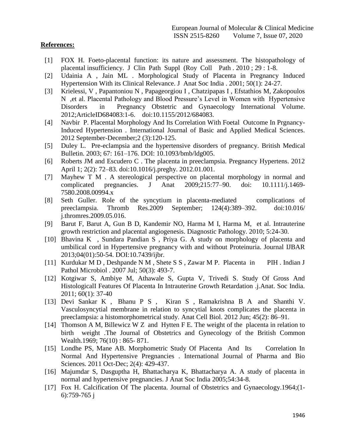## **References:**

- [1] FOX H. Foeto-placental function: its nature and assessment. The histopathology of placental insufficiency. J Clin Path Suppl (Roy Coll Path . 2010 ; 29 : 1-8.
- [2] Udainia A , Jain ML . Morphological Study of Placenta in Pregnancy Induced Hypertension With its Clinical Relevance. J Anat Soc India . 2001; 50(1): 24-27.
- [3] Krielessi, V , Papantoniou N , Papageorgiou I , Chatzipapas I , Efstathios M, Zakopoulos N ,et al. Placental Pathology and Blood Pressure's Level in Women with Hypertensive Disorders in Pregnancy Obstetric and Gynaecology International Volume. 2012;ArticleID684083:1-6. doi:10.1155/2012/684083.
- [4] Navbir P. Placental Morphology And Its Correlation With Foetal Outcome In Prgnancy-Induced Hypertension . International Journal of Basic and Applied Medical Sciences. 2012 September-December;2 (3):120-125.
- [5] Duley L. Pre-eclampsia and the hypertensive disorders of pregnancy. British Medical Bulletin. 2003; 67: 161–176. DOI: 10.1093/bmb/ldg005.
- [6] Roberts JM and Escudero C . The placenta in preeclampsia. Pregnancy Hypertens. 2012 April 1; 2(2): 72–83. doi:10.1016/j.preghy. 2012.01.001.
- [7] Mayhew T M . A stereological perspective on placental morphology in normal and complicated pregnancies. J Anat 2009;215:77–90. doi: 10.1111/j.1469- 7580.2008.00994.x
- [8] Seth Guller. Role of the syncytium in placenta-mediated complications of preeclampsia. Thromb Res.2009 September; 124(4):389–392. doi:10.016/ j.thromres.2009.05.016.
- [9] Barut F, Barut A, Gun B D, Kandemir NO, Harma M I, Harma M, et al. Intrauterine growth restriction and placental angiogenesis. Diagnostic Pathology. 2010; 5:24-30.
- [10] Bhavina K , Sundara Pandian S , Priya G. A study on morphology of placenta and umbilical cord in Hypertensive pregnancy with and without Proteinuria. Journal IJBAR 2013;04(01):50-54. DOI:10.7439/ijbr.
- [11] Kurdukar M D , Deshpande N M , Shete S S , Zawar M P. Placenta in PIH . Indian J Pathol Microbiol . 2007 Jul; 50(3): 493-7.
- [12] Kotgiwar S, Ambiye M, Athawale S, Gupta V, Trivedi S. Study Of Gross And HistologicalI Features Of Placenta In Intrauterine Growth Retardation .j.Anat. Soc India. 2011; 60(1): 37-40
- [13] [Devi Sankar](http://www.ncbi.nlm.nih.gov/pubmed/?term=Sankar%20KD%5Bauth%5D) K , [Bhanu](http://www.ncbi.nlm.nih.gov/pubmed/?term=Bhanu%20PS%5Bauth%5D) P S , [Kiran](http://www.ncbi.nlm.nih.gov/pubmed/?term=Kiran%20S%5Bauth%5D) S , [Ramakrishna](http://www.ncbi.nlm.nih.gov/pubmed/?term=Ramakrishna%20BA%5Bauth%5D) B A and [Shanthi](http://www.ncbi.nlm.nih.gov/pubmed/?term=Shanthi%20V%5Bauth%5D) V. Vasculosyncytial membrane in relation to syncytial knots complicates the placenta in preeclampsia: a histomorphometrical study. Anat Cell Biol. 2012 Jun; 45(2): 86–91.
- [14] Thomson A M, Billewicz W Z and Hytten F E. The weight of the placenta in relation to birth weight .The Journal of Obstetrics and Gynecology of the British Common Wealth.1969; 76(10) : 865- 871.
- [15] Londhe PS, Mane AB. Morphometric Study Of Placenta And Its Correlation In Normal And Hypertensive Pregnancies . International Journal of Pharma and Bio Sciences. 2011 Oct-Dec; 2(4): 429-437.
- [16] Majumdar S, Dasguptha H, Bhattacharya K, Bhattacharya A. A study of placenta in normal and hypertensive pregnancies. J Anat Soc India 2005;54:34-8.
- [17] Fox H. Calcification Of The placenta. Journal of Obstetrics and Gynaecology.1964;(1- 6):759-765 j